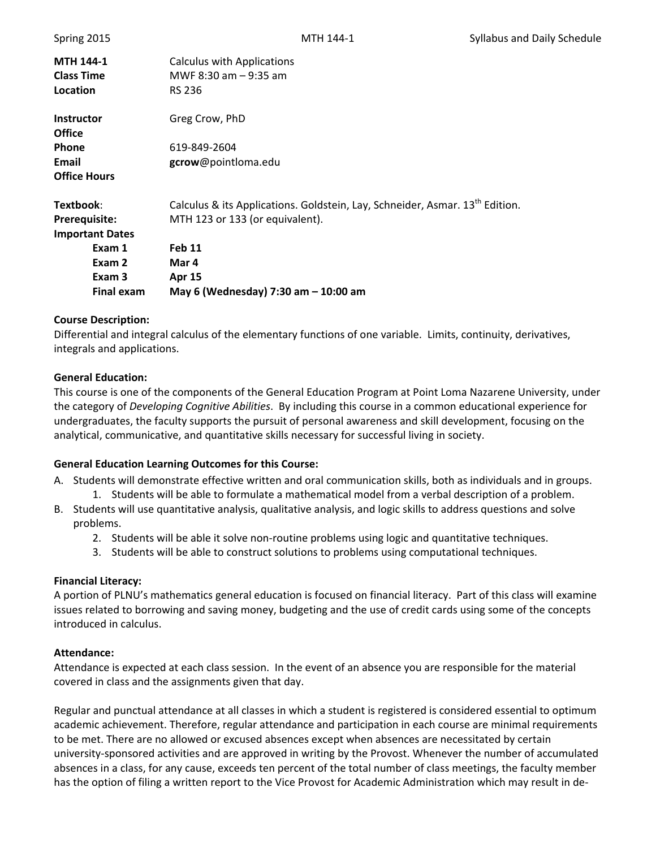|                               | <b>Final exam</b>      | May 6 (Wednesday) 7:30 am - 10:00 am                                                     |
|-------------------------------|------------------------|------------------------------------------------------------------------------------------|
|                               | Exam 2<br>Exam 3       | Mar 4<br><b>Apr 15</b>                                                                   |
|                               | Exam 1                 | <b>Feb 11</b>                                                                            |
|                               | <b>Important Dates</b> |                                                                                          |
| Prerequisite:                 |                        | MTH 123 or 133 (or equivalent).                                                          |
| Textbook:                     |                        | Calculus & its Applications. Goldstein, Lay, Schneider, Asmar. 13 <sup>th</sup> Edition. |
| <b>Office Hours</b>           |                        |                                                                                          |
| Email                         |                        | gcrow@pointloma.edu                                                                      |
| <b>Office</b><br><b>Phone</b> |                        | 619-849-2604                                                                             |
| <b>Instructor</b>             |                        | Greg Crow, PhD                                                                           |
| Location                      |                        | <b>RS 236</b>                                                                            |
| <b>Class Time</b>             |                        | MWF 8:30 am $-$ 9:35 am                                                                  |
| <b>MTH 144-1</b>              |                        | Calculus with Applications                                                               |

#### **Course Description:**

Differential and integral calculus of the elementary functions of one variable. Limits, continuity, derivatives, integrals and applications.

#### **General Education:**

This course is one of the components of the General Education Program at Point Loma Nazarene University, under the category of *Developing Cognitive Abilities*. By including this course in a common educational experience for undergraduates, the faculty supports the pursuit of personal awareness and skill development, focusing on the analytical, communicative, and quantitative skills necessary for successful living in society.

### **General Education Learning Outcomes for this Course:**

- A. Students will demonstrate effective written and oral communication skills, both as individuals and in groups. 1. Students will be able to formulate a mathematical model from a verbal description of a problem.
- B. Students will use quantitative analysis, qualitative analysis, and logic skills to address questions and solve problems.
	- 2. Students will be able it solve non-routine problems using logic and quantitative techniques.
	- 3. Students will be able to construct solutions to problems using computational techniques.

#### **Financial Literacy:**

A portion of PLNU's mathematics general education is focused on financial literacy. Part of this class will examine issues related to borrowing and saving money, budgeting and the use of credit cards using some of the concepts introduced in calculus.

#### **Attendance:**

Attendance is expected at each class session. In the event of an absence you are responsible for the material covered in class and the assignments given that day.

Regular and punctual attendance at all classes in which a student is registered is considered essential to optimum academic achievement. Therefore, regular attendance and participation in each course are minimal requirements to be met. There are no allowed or excused absences except when absences are necessitated by certain university‐sponsored activities and are approved in writing by the Provost. Whenever the number of accumulated absences in a class, for any cause, exceeds ten percent of the total number of class meetings, the faculty member has the option of filing a written report to the Vice Provost for Academic Administration which may result in de‐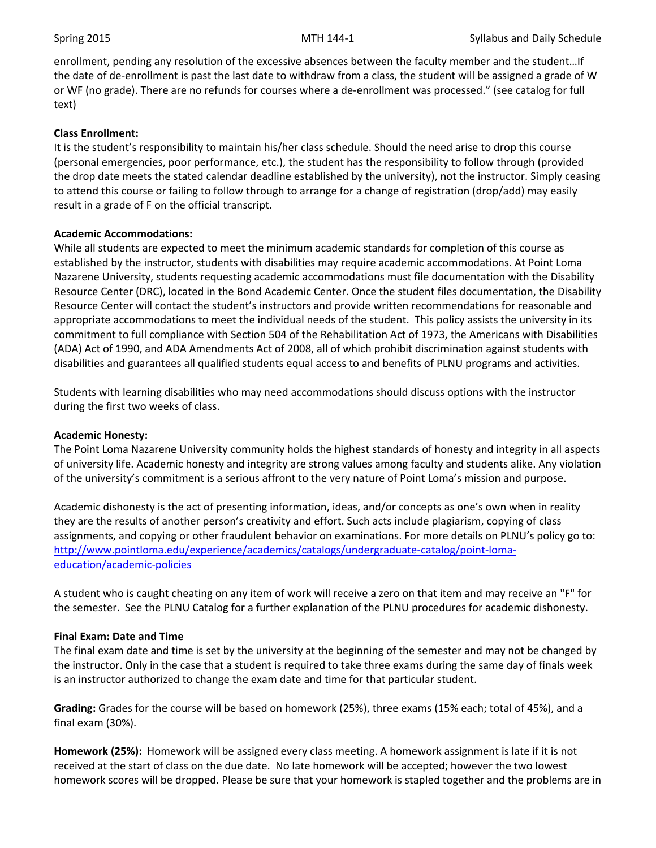enrollment, pending any resolution of the excessive absences between the faculty member and the student…If the date of de-enrollment is past the last date to withdraw from a class, the student will be assigned a grade of W or WF (no grade). There are no refunds for courses where a de‐enrollment was processed." (see catalog for full text)

### **Class Enrollment:**

It is the student's responsibility to maintain his/her class schedule. Should the need arise to drop this course (personal emergencies, poor performance, etc.), the student has the responsibility to follow through (provided the drop date meets the stated calendar deadline established by the university), not the instructor. Simply ceasing to attend this course or failing to follow through to arrange for a change of registration (drop/add) may easily result in a grade of F on the official transcript.

### **Academic Accommodations:**

While all students are expected to meet the minimum academic standards for completion of this course as established by the instructor, students with disabilities may require academic accommodations. At Point Loma Nazarene University, students requesting academic accommodations must file documentation with the Disability Resource Center (DRC), located in the Bond Academic Center. Once the student files documentation, the Disability Resource Center will contact the student's instructors and provide written recommendations for reasonable and appropriate accommodations to meet the individual needs of the student. This policy assists the university in its commitment to full compliance with Section 504 of the Rehabilitation Act of 1973, the Americans with Disabilities (ADA) Act of 1990, and ADA Amendments Act of 2008, all of which prohibit discrimination against students with disabilities and guarantees all qualified students equal access to and benefits of PLNU programs and activities.

Students with learning disabilities who may need accommodations should discuss options with the instructor during the first two weeks of class.

### **Academic Honesty:**

The Point Loma Nazarene University community holds the highest standards of honesty and integrity in all aspects of university life. Academic honesty and integrity are strong values among faculty and students alike. Any violation of the university's commitment is a serious affront to the very nature of Point Loma's mission and purpose.

Academic dishonesty is the act of presenting information, ideas, and/or concepts as one's own when in reality they are the results of another person's creativity and effort. Such acts include plagiarism, copying of class assignments, and copying or other fraudulent behavior on examinations. For more details on PLNU's policy go to: http://www.pointloma.edu/experience/academics/catalogs/undergraduate‐catalog/point‐loma‐ education/academic‐policies

A student who is caught cheating on any item of work will receive a zero on that item and may receive an "F" for the semester. See the PLNU Catalog for a further explanation of the PLNU procedures for academic dishonesty.

### **Final Exam: Date and Time**

The final exam date and time is set by the university at the beginning of the semester and may not be changed by the instructor. Only in the case that a student is required to take three exams during the same day of finals week is an instructor authorized to change the exam date and time for that particular student.

**Grading:** Grades for the course will be based on homework (25%), three exams (15% each; total of 45%), and a final exam (30%).

**Homework (25%):** Homework will be assigned every class meeting. A homework assignment is late if it is not received at the start of class on the due date. No late homework will be accepted; however the two lowest homework scores will be dropped. Please be sure that your homework is stapled together and the problems are in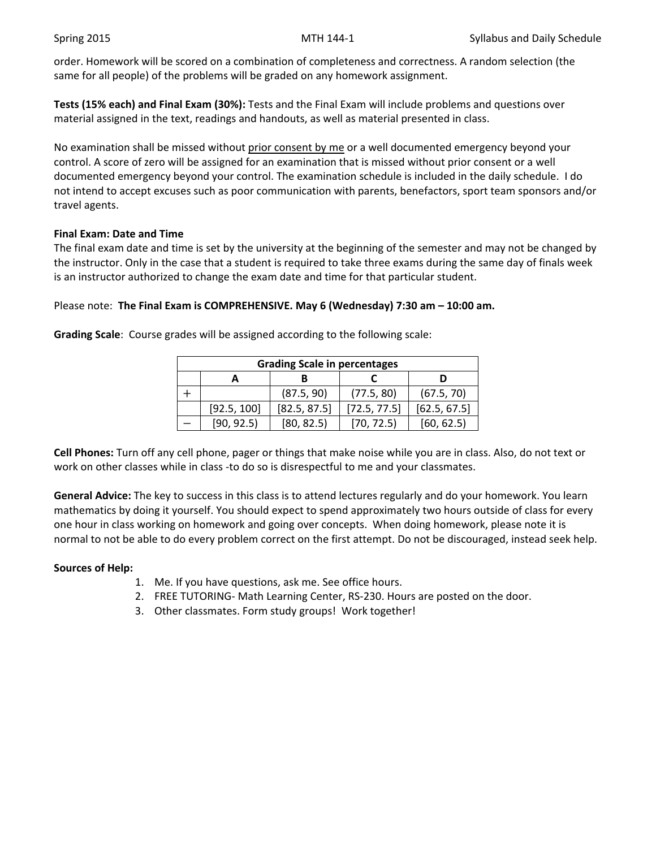order. Homework will be scored on a combination of completeness and correctness. A random selection (the same for all people) of the problems will be graded on any homework assignment.

**Tests (15% each) and Final Exam (30%):** Tests and the Final Exam will include problems and questions over material assigned in the text, readings and handouts, as well as material presented in class.

No examination shall be missed without prior consent by me or a well documented emergency beyond your control. A score of zero will be assigned for an examination that is missed without prior consent or a well documented emergency beyond your control. The examination schedule is included in the daily schedule. I do not intend to accept excuses such as poor communication with parents, benefactors, sport team sponsors and/or travel agents.

## **Final Exam: Date and Time**

The final exam date and time is set by the university at the beginning of the semester and may not be changed by the instructor. Only in the case that a student is required to take three exams during the same day of finals week is an instructor authorized to change the exam date and time for that particular student.

# Please note: **The Final Exam is COMPREHENSIVE. May 6 (Wednesday) 7:30 am – 10:00 am.**

| <b>Grading Scale in percentages</b> |             |              |              |              |  |  |  |  |
|-------------------------------------|-------------|--------------|--------------|--------------|--|--|--|--|
|                                     |             |              |              |              |  |  |  |  |
|                                     |             | (87.5, 90)   | (77.5, 80)   | (67.5, 70)   |  |  |  |  |
|                                     | [92.5, 100] | [82.5, 87.5] | [72.5, 77.5] | [62.5, 67.5] |  |  |  |  |
|                                     | [90, 92.5]  | [80, 82.5]   | [70, 72.5]   | [60, 62.5]   |  |  |  |  |

**Grading Scale**: Course grades will be assigned according to the following scale:

**Cell Phones:** Turn off any cell phone, pager or things that make noise while you are in class. Also, do not text or work on other classes while in class -to do so is disrespectful to me and your classmates.

**General Advice:** The key to success in this class is to attend lectures regularly and do your homework. You learn mathematics by doing it yourself. You should expect to spend approximately two hours outside of class for every one hour in class working on homework and going over concepts. When doing homework, please note it is normal to not be able to do every problem correct on the first attempt. Do not be discouraged, instead seek help.

# **Sources of Help:**

- 1. Me. If you have questions, ask me. See office hours.
- 2. FREE TUTORING- Math Learning Center, RS-230. Hours are posted on the door.
- 3. Other classmates. Form study groups! Work together!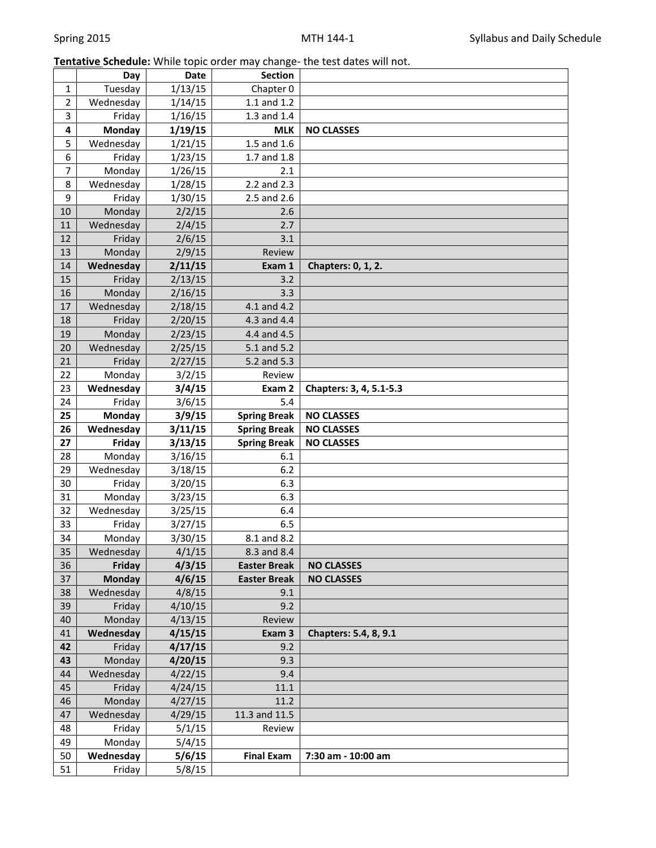# **Tentative Schedule:** While topic order may change‐ the test dates will not.

|                | Day                 | <b>Date</b>      | <b>Section</b>      |                         |
|----------------|---------------------|------------------|---------------------|-------------------------|
| $\mathbf{1}$   | Tuesday             | 1/13/15          | Chapter 0           |                         |
| $\overline{2}$ | Wednesday           | 1/14/15          | $1.1$ and $1.2$     |                         |
| 3              | Friday              | 1/16/15          | 1.3 and 1.4         |                         |
| 4              | <b>Monday</b>       | 1/19/15          | <b>MLK</b>          | <b>NO CLASSES</b>       |
| 5              | Wednesday           | 1/21/15          | 1.5 and 1.6         |                         |
| 6              | Friday              | 1/23/15          | 1.7 and 1.8         |                         |
| $\overline{7}$ | Monday              | 1/26/15          | 2.1                 |                         |
| 8              | Wednesday           | 1/28/15          | 2.2 and 2.3         |                         |
| 9              | Friday              | 1/30/15          | 2.5 and 2.6         |                         |
| 10             | Monday              | 2/2/15           | 2.6                 |                         |
| $11\,$         | Wednesday           | 2/4/15           | 2.7                 |                         |
| 12             | Friday              | 2/6/15           | 3.1                 |                         |
| 13             | Monday              | 2/9/15           | Review              |                         |
| 14             | Wednesday           | 2/11/15          | Exam 1              | Chapters: 0, 1, 2.      |
| 15             | Friday              | 2/13/15          | 3.2                 |                         |
| 16             | Monday              | 2/16/15          | 3.3                 |                         |
| 17             | Wednesday           | 2/18/15          | 4.1 and 4.2         |                         |
| 18             | Friday              | 2/20/15          | 4.3 and 4.4         |                         |
| 19             | Monday              | 2/23/15          | 4.4 and 4.5         |                         |
| 20             | Wednesday           | 2/25/15          | 5.1 and 5.2         |                         |
| 21             | Friday              | 2/27/15          | 5.2 and 5.3         |                         |
| 22             | Monday              | 3/2/15           | Review              |                         |
| 23             | Wednesday           | 3/4/15           | Exam 2              | Chapters: 3, 4, 5.1-5.3 |
| 24             | Friday              | 3/6/15           | 5.4                 |                         |
| 25             | <b>Monday</b>       | 3/9/15           | <b>Spring Break</b> | <b>NO CLASSES</b>       |
|                |                     |                  |                     |                         |
| 26             | Wednesday           | 3/11/15          | <b>Spring Break</b> | <b>NO CLASSES</b>       |
| 27             | Friday              | 3/13/15          | <b>Spring Break</b> | <b>NO CLASSES</b>       |
| 28             | Monday              | 3/16/15          | 6.1                 |                         |
| 29             | Wednesday           | 3/18/15          | 6.2                 |                         |
| 30             | Friday              | 3/20/15          | 6.3                 |                         |
| 31             | Monday              | 3/23/15          | 6.3                 |                         |
| 32             | Wednesday           | 3/25/15          | 6.4                 |                         |
| 33             | Friday              | 3/27/15          | 6.5                 |                         |
| 34             | Monday              | 3/30/15          | 8.1 and 8.2         |                         |
| 35             | Wednesday           | 4/1/15           | 8.3 and 8.4         |                         |
| 36             | Friday              | 4/3/15           | <b>Easter Break</b> | <b>NO CLASSES</b>       |
| 37             | <b>Monday</b>       | 4/6/15           | <b>Easter Break</b> | <b>NO CLASSES</b>       |
| 38             | Wednesday           | 4/8/15           | 9.1                 |                         |
| 39             | Friday              | 4/10/15          | 9.2                 |                         |
| 40             | Monday              | 4/13/15          | Review              |                         |
| 41             | Wednesday           | 4/15/15          | Exam 3              | Chapters: 5.4, 8, 9.1   |
| 42             | Friday              | 4/17/15          | 9.2                 |                         |
| 43             | Monday              | 4/20/15          | 9.3                 |                         |
| 44             | Wednesday           | 4/22/15          | 9.4                 |                         |
| 45             | Friday              | 4/24/15          | 11.1                |                         |
| 46             | Monday              | 4/27/15          | 11.2                |                         |
| 47             | Wednesday           | 4/29/15          | 11.3 and 11.5       |                         |
| 48             | Friday              | 5/1/15           | Review              |                         |
| 49             | Monday              | 5/4/15           |                     |                         |
| 50<br>51       | Wednesday<br>Friday | 5/6/15<br>5/8/15 | <b>Final Exam</b>   | 7:30 am - 10:00 am      |